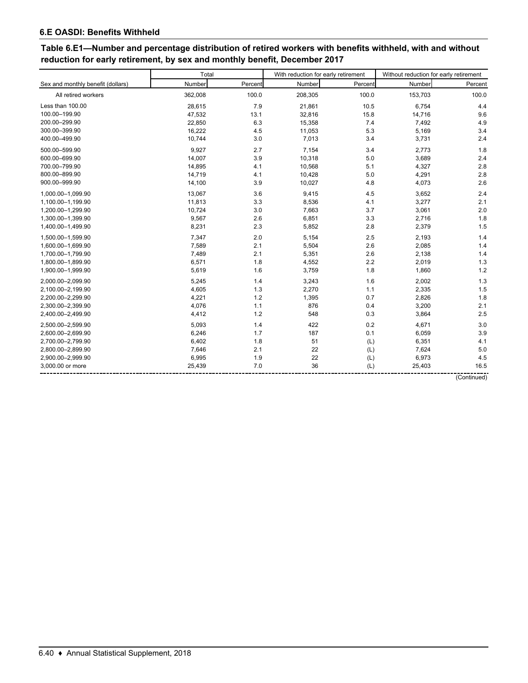# **Table 6.E1—Number and percentage distribution of retired workers with benefits withheld, with and without reduction for early retirement, by sex and monthly benefit, December 2017**

| Sex and monthly benefit (dollars)<br>All retired workers | Number<br>362,008<br>28,615 | Percent<br>100.0 | Number  | Percent | Number  | Percent |
|----------------------------------------------------------|-----------------------------|------------------|---------|---------|---------|---------|
|                                                          |                             |                  |         |         |         |         |
|                                                          |                             |                  | 208,305 | 100.0   | 153,703 | 100.0   |
| Less than 100.00                                         |                             | 7.9              | 21,861  | 10.5    | 6,754   | 4.4     |
| 100.00-199.90                                            | 47,532                      | 13.1             | 32,816  | 15.8    | 14,716  | 9.6     |
| 200.00-299.90                                            | 22,850                      | 6.3              | 15,358  | 7.4     | 7,492   | 4.9     |
| 300.00-399.90                                            | 16,222                      | 4.5              | 11,053  | 5.3     | 5,169   | 3.4     |
| 400.00-499.90                                            | 10,744                      | 3.0              | 7,013   | 3.4     | 3,731   | 2.4     |
| 500.00-599.90                                            | 9,927                       | 2.7              | 7,154   | 3.4     | 2,773   | 1.8     |
| 600.00-699.90                                            | 14,007                      | 3.9              | 10,318  | 5.0     | 3,689   | 2.4     |
| 700.00-799.90                                            | 14,895                      | 4.1              | 10,568  | 5.1     | 4,327   | 2.8     |
| 800.00-899.90                                            | 14,719                      | 4.1              | 10,428  | 5.0     | 4,291   | 2.8     |
| 900.00-999.90                                            | 14,100                      | 3.9              | 10,027  | 4.8     | 4,073   | 2.6     |
| 1,000.00-1,099.90                                        | 13,067                      | 3.6              | 9,415   | 4.5     | 3,652   | 2.4     |
| 1,100.00-1,199.90                                        | 11,813                      | 3.3              | 8,536   | 4.1     | 3,277   | 2.1     |
| 1,200.00-1,299.90                                        | 10,724                      | 3.0              | 7,663   | 3.7     | 3,061   | 2.0     |
| 1,300.00-1,399.90                                        | 9,567                       | 2.6              | 6,851   | 3.3     | 2,716   | 1.8     |
| 1,400.00-1,499.90                                        | 8,231                       | 2.3              | 5,852   | 2.8     | 2,379   | 1.5     |
| 1,500.00-1,599.90                                        | 7,347                       | 2.0              | 5,154   | 2.5     | 2,193   | 1.4     |
| 1,600.00-1,699.90                                        | 7,589                       | 2.1              | 5,504   | 2.6     | 2,085   | 1.4     |
| 1,700.00-1,799.90                                        | 7,489                       | 2.1              | 5,351   | 2.6     | 2,138   | 1.4     |
| 1,800.00-1,899.90                                        | 6,571                       | 1.8              | 4,552   | 2.2     | 2,019   | 1.3     |
| 1,900.00-1,999.90                                        | 5,619                       | 1.6              | 3,759   | 1.8     | 1,860   | 1.2     |
| 2,000.00-2,099.90                                        | 5,245                       | 1.4              | 3,243   | 1.6     | 2,002   | 1.3     |
| 2,100.00-2,199.90                                        | 4,605                       | 1.3              | 2,270   | 1.1     | 2,335   | 1.5     |
| 2,200.00-2,299.90                                        | 4,221                       | 1.2              | 1,395   | 0.7     | 2,826   | 1.8     |
| 2,300.00-2,399.90                                        | 4,076                       | 1.1              | 876     | 0.4     | 3,200   | 2.1     |
| 2,400.00-2,499.90                                        | 4,412                       | 1.2              | 548     | 0.3     | 3,864   | 2.5     |
| 2,500.00-2,599.90                                        | 5,093                       | 1.4              | 422     | 0.2     | 4,671   | 3.0     |
| 2,600.00-2,699.90                                        | 6,246                       | 1.7              | 187     | 0.1     | 6,059   | 3.9     |
| 2,700.00-2,799.90                                        | 6,402                       | 1.8              | 51      | (L)     | 6,351   | 4.1     |
| 2,800.00-2,899.90                                        | 7,646                       | 2.1              | 22      | (L)     | 7,624   | 5.0     |
| 2,900.00-2,999.90                                        | 6,995                       | 1.9              | 22      | (L)     | 6,973   | 4.5     |
| 3.000.00 or more                                         | 25,439                      | 7.0              | 36      | (L)     | 25,403  | 16.5    |

(Continued)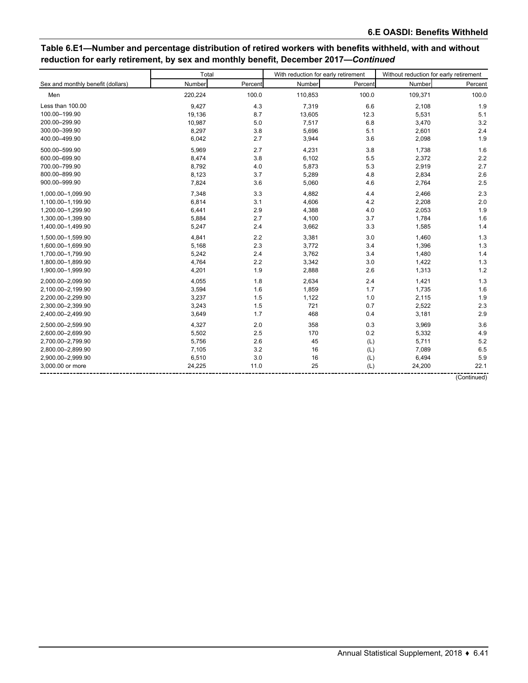# **Table 6.E1—Number and percentage distribution of retired workers with benefits withheld, with and without reduction for early retirement, by sex and monthly benefit, December 2017—***Continued*

|                                   | Total<br>With reduction for early retirement |         |         |         | Without reduction for early retirement |             |  |  |
|-----------------------------------|----------------------------------------------|---------|---------|---------|----------------------------------------|-------------|--|--|
| Sex and monthly benefit (dollars) | Number                                       | Percent | Number  | Percent | Number                                 | Percent     |  |  |
| Men                               | 220,224                                      | 100.0   | 110,853 | 100.0   | 109,371                                | 100.0       |  |  |
| Less than 100.00                  | 9,427                                        | 4.3     | 7,319   | 6.6     | 2,108                                  | 1.9         |  |  |
| 100.00-199.90                     | 19,136                                       | 8.7     | 13,605  | 12.3    | 5,531                                  | 5.1         |  |  |
| 200.00-299.90                     | 10,987                                       | 5.0     | 7,517   | 6.8     | 3,470                                  | 3.2         |  |  |
| 300.00-399.90                     | 8,297                                        | 3.8     | 5,696   | 5.1     | 2,601                                  | 2.4         |  |  |
| 400.00-499.90                     | 6,042                                        | 2.7     | 3,944   | 3.6     | 2,098                                  | 1.9         |  |  |
| 500.00-599.90                     | 5,969                                        | 2.7     | 4,231   | 3.8     | 1,738                                  | 1.6         |  |  |
| 600.00-699.90                     | 8,474                                        | 3.8     | 6,102   | 5.5     | 2,372                                  | 2.2         |  |  |
| 700.00-799.90                     | 8,792                                        | 4.0     | 5,873   | 5.3     | 2,919                                  | 2.7         |  |  |
| 800.00-899.90                     | 8,123                                        | 3.7     | 5,289   | 4.8     | 2,834                                  | 2.6         |  |  |
| 900.00-999.90                     | 7,824                                        | 3.6     | 5,060   | 4.6     | 2,764                                  | 2.5         |  |  |
| 1,000.00-1,099.90                 | 7,348                                        | 3.3     | 4,882   | 4.4     | 2,466                                  | 2.3         |  |  |
| 1,100.00-1,199.90                 | 6,814                                        | 3.1     | 4,606   | 4.2     | 2,208                                  | 2.0         |  |  |
| 1,200.00-1,299.90                 | 6,441                                        | 2.9     | 4,388   | 4.0     | 2,053                                  | 1.9         |  |  |
| 1,300.00-1,399.90                 | 5,884                                        | 2.7     | 4,100   | 3.7     | 1,784                                  | 1.6         |  |  |
| 1,400.00-1,499.90                 | 5,247                                        | 2.4     | 3,662   | 3.3     | 1,585                                  | 1.4         |  |  |
| 1,500.00-1,599.90                 | 4,841                                        | 2.2     | 3,381   | 3.0     | 1,460                                  | 1.3         |  |  |
| 1,600.00-1,699.90                 | 5,168                                        | 2.3     | 3,772   | 3.4     | 1,396                                  | 1.3         |  |  |
| 1,700.00-1,799.90                 | 5,242                                        | 2.4     | 3,762   | 3.4     | 1,480                                  | 1.4         |  |  |
| 1,800.00-1,899.90                 | 4,764                                        | 2.2     | 3,342   | 3.0     | 1,422                                  | 1.3         |  |  |
| 1,900.00-1,999.90                 | 4,201                                        | 1.9     | 2,888   | 2.6     | 1,313                                  | 1.2         |  |  |
| 2,000.00-2,099.90                 | 4,055                                        | 1.8     | 2,634   | 2.4     | 1,421                                  | 1.3         |  |  |
| 2,100.00-2,199.90                 | 3,594                                        | 1.6     | 1,859   | 1.7     | 1,735                                  | 1.6         |  |  |
| 2,200.00-2,299.90                 | 3,237                                        | 1.5     | 1,122   | 1.0     | 2,115                                  | 1.9         |  |  |
| 2,300.00-2,399.90                 | 3,243                                        | 1.5     | 721     | 0.7     | 2,522                                  | 2.3         |  |  |
| 2,400.00-2,499.90                 | 3,649                                        | 1.7     | 468     | 0.4     | 3,181                                  | 2.9         |  |  |
| 2,500.00-2,599.90                 | 4,327                                        | 2.0     | 358     | 0.3     | 3,969                                  | 3.6         |  |  |
| 2,600.00-2,699.90                 | 5,502                                        | 2.5     | 170     | 0.2     | 5,332                                  | 4.9         |  |  |
| 2,700.00-2,799.90                 | 5,756                                        | 2.6     | 45      | (L)     | 5,711                                  | 5.2         |  |  |
| 2.800.00-2.899.90                 | 7,105                                        | 3.2     | 16      | (L)     | 7,089                                  | 6.5         |  |  |
| 2,900.00-2,999.90                 | 6,510                                        | 3.0     | 16      | (L)     | 6,494                                  | 5.9         |  |  |
| 3,000.00 or more                  | 24,225                                       | 11.0    | 25      | (L)     | 24,200                                 | 22.1        |  |  |
|                                   |                                              |         |         |         |                                        | (Continued) |  |  |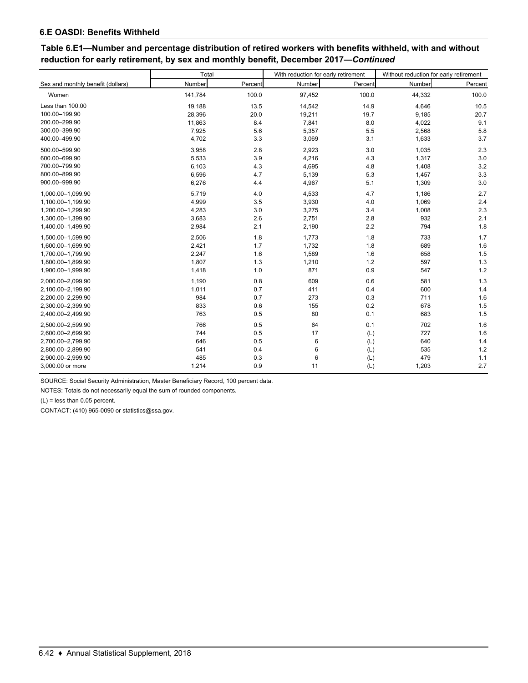### **Table 6.E1—Number and percentage distribution of retired workers with benefits withheld, with and without reduction for early retirement, by sex and monthly benefit, December 2017—***Continued*

|                                   | Total   |         | With reduction for early retirement |         | Without reduction for early retirement |         |  |
|-----------------------------------|---------|---------|-------------------------------------|---------|----------------------------------------|---------|--|
| Sex and monthly benefit (dollars) | Number  | Percent | Number                              | Percent | Number                                 | Percent |  |
| Women                             | 141,784 | 100.0   | 97,452                              | 100.0   | 44,332                                 | 100.0   |  |
| Less than 100.00                  | 19,188  | 13.5    | 14,542                              | 14.9    | 4,646                                  | 10.5    |  |
| 100.00-199.90                     | 28,396  | 20.0    | 19,211                              | 19.7    | 9,185                                  | 20.7    |  |
| 200.00-299.90                     | 11,863  | 8.4     | 7,841                               | 8.0     | 4,022                                  | 9.1     |  |
| 300.00-399.90                     | 7,925   | 5.6     | 5,357                               | 5.5     | 2,568                                  | 5.8     |  |
| 400.00-499.90                     | 4,702   | 3.3     | 3,069                               | 3.1     | 1,633                                  | 3.7     |  |
| 500.00-599.90                     | 3,958   | 2.8     | 2,923                               | 3.0     | 1,035                                  | 2.3     |  |
| 600.00-699.90                     | 5,533   | 3.9     | 4,216                               | 4.3     | 1,317                                  | 3.0     |  |
| 700.00-799.90                     | 6,103   | 4.3     | 4,695                               | 4.8     | 1,408                                  | 3.2     |  |
| 800.00-899.90                     | 6,596   | 4.7     | 5,139                               | 5.3     | 1,457                                  | 3.3     |  |
| 900.00-999.90                     | 6,276   | 4.4     | 4,967                               | 5.1     | 1,309                                  | 3.0     |  |
| 1,000.00-1,099.90                 | 5,719   | 4.0     | 4,533                               | 4.7     | 1,186                                  | 2.7     |  |
| 1,100.00-1,199.90                 | 4,999   | 3.5     | 3,930                               | 4.0     | 1,069                                  | 2.4     |  |
| 1,200.00-1,299.90                 | 4,283   | 3.0     | 3,275                               | 3.4     | 1,008                                  | 2.3     |  |
| 1,300.00-1,399.90                 | 3,683   | 2.6     | 2,751                               | 2.8     | 932                                    | 2.1     |  |
| 1,400.00-1,499.90                 | 2,984   | 2.1     | 2,190                               | 2.2     | 794                                    | 1.8     |  |
| 1,500.00-1,599.90                 | 2,506   | 1.8     | 1,773                               | 1.8     | 733                                    | 1.7     |  |
| 1,600.00-1,699.90                 | 2,421   | 1.7     | 1,732                               | 1.8     | 689                                    | 1.6     |  |
| 1.700.00-1.799.90                 | 2,247   | 1.6     | 1,589                               | 1.6     | 658                                    | 1.5     |  |
| 1,800.00-1,899.90                 | 1,807   | 1.3     | 1,210                               | 1.2     | 597                                    | 1.3     |  |
| 1,900.00-1,999.90                 | 1,418   | 1.0     | 871                                 | 0.9     | 547                                    | 1.2     |  |
| 2,000.00-2,099.90                 | 1,190   | 0.8     | 609                                 | 0.6     | 581                                    | 1.3     |  |
| 2,100.00-2,199.90                 | 1,011   | 0.7     | 411                                 | 0.4     | 600                                    | 1.4     |  |
| 2,200.00-2,299.90                 | 984     | 0.7     | 273                                 | 0.3     | 711                                    | 1.6     |  |
| 2,300.00-2,399.90                 | 833     | 0.6     | 155                                 | 0.2     | 678                                    | 1.5     |  |
| 2,400.00-2,499.90                 | 763     | 0.5     | 80                                  | 0.1     | 683                                    | 1.5     |  |
| 2.500.00-2.599.90                 | 766     | 0.5     | 64                                  | 0.1     | 702                                    | 1.6     |  |
| 2,600.00-2,699.90                 | 744     | 0.5     | 17                                  | (L)     | 727                                    | 1.6     |  |
| 2,700.00-2,799.90                 | 646     | 0.5     | 6                                   | (L)     | 640                                    | 1.4     |  |
| 2,800.00-2,899.90                 | 541     | 0.4     | 6                                   | (L)     | 535                                    | 1.2     |  |
| 2,900.00-2,999.90                 | 485     | 0.3     | 6                                   | (L)     | 479                                    | 1.1     |  |
| 3,000.00 or more                  | 1,214   | 0.9     | 11                                  | (L)     | 1,203                                  | 2.7     |  |

SOURCE: Social Security Administration, Master Beneficiary Record, 100 percent data.

NOTES: Totals do not necessarily equal the sum of rounded components.

(L) = less than 0.05 percent.

CONTACT: (410) 965-0090 or statistics@ssa.gov.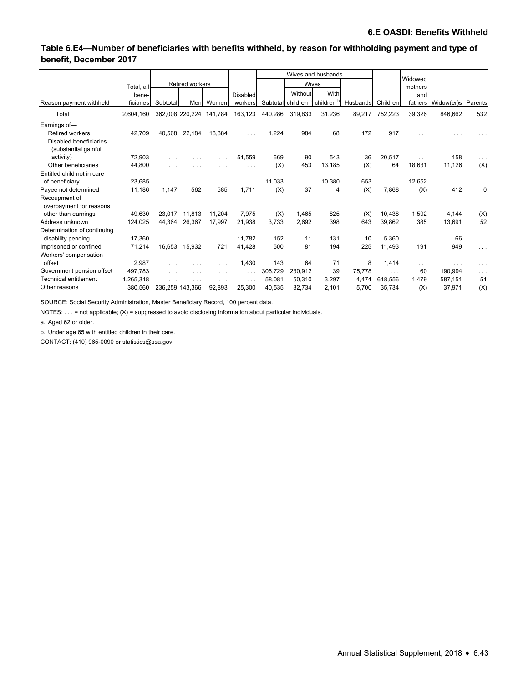### **Table 6.E4—Number of beneficiaries with benefits withheld, by reason for withholding payment and type of benefit, December 2017**

|                                                |            |                 |        |                         |          |         | Wives and husbands |                                                      |                   | Widowed  |          |                    |             |
|------------------------------------------------|------------|-----------------|--------|-------------------------|----------|---------|--------------------|------------------------------------------------------|-------------------|----------|----------|--------------------|-------------|
|                                                | Total, all | Retired workers |        |                         |          | Wives   |                    |                                                      |                   | mothers  |          |                    |             |
|                                                | bene-      |                 |        |                         | Disabled |         | Without            | With                                                 |                   |          | and      |                    |             |
| Reason payment withheld                        | ficiaries  | Subtotal        | Men    | Women                   | workers  |         |                    | Subtotal children <sup>a</sup> children <sup>b</sup> | Husbands Children |          | fathers  | Widow(er)s Parents |             |
| Total                                          | 2.604.160  |                 |        | 362,008 220,224 141,784 | 163,123  | 440,286 | 319,833            | 31,236                                               | 89,217            | 752,223  | 39,326   | 846.662            | 532         |
| Earnings of-                                   |            |                 |        |                         |          |         |                    |                                                      |                   |          |          |                    |             |
| <b>Retired workers</b>                         | 42,709     | 40.568          | 22,184 | 18,384                  |          | 1,224   | 984                | 68                                                   | 172               | 917      |          |                    |             |
| Disabled beneficiaries<br>(substantial gainful |            |                 |        |                         |          |         |                    |                                                      |                   |          |          |                    |             |
| activity)                                      | 72,903     | .               | .      |                         | 51,559   | 669     | 90                 | 543                                                  | 36                | 20,517   | .        | 158                | $\cdots$    |
| Other beneficiaries                            | 44,800     | .               | .      | .                       | $\cdots$ | (X)     | 453                | 13,185                                               | (X)               | 64       | 18,631   | 11,126             | (X)         |
| Entitled child not in care                     |            |                 |        |                         |          |         |                    |                                                      |                   |          |          |                    |             |
| of beneficiary                                 | 23,685     | .               | .      | .                       | .        | 11,033  | .                  | 10,380                                               | 653               | .        | 12,652   | $\cdots$           | .           |
| Payee not determined                           | 11,186     | 1.147           | 562    | 585                     | 1,711    | (X)     | 37                 | 4                                                    | (X)               | 7,868    | (X)      | 412                | $\mathbf 0$ |
| Recoupment of<br>overpayment for reasons       |            |                 |        |                         |          |         |                    |                                                      |                   |          |          |                    |             |
| other than earnings                            | 49.630     | 23.017          | 11.813 | 11.204                  | 7,975    | (X)     | 1,465              | 825                                                  | (X)               | 10.438   | 1,592    | 4,144              | (X)         |
| Address unknown                                | 124,025    | 44.364          | 26.367 | 17.997                  | 21,938   | 3,733   | 2.692              | 398                                                  | 643               | 39,862   | 385      | 13,691             | 52          |
| Determination of continuing                    |            |                 |        |                         |          |         |                    |                                                      |                   |          |          |                    |             |
| disability pending                             | 17,360     |                 | .      | $\cdots$                | 11.782   | 152     | 11                 | 131                                                  | 10                | 5,360    | $\cdots$ | 66                 | $\cdots$    |
| Imprisoned or confined                         | 71.214     | 16.653          | 15.932 | 721                     | 41.428   | 500     | 81                 | 194                                                  | 225               | 11.493   | 191      | 949                | $\sim 100$  |
| Workers' compensation                          |            |                 |        |                         |          |         |                    |                                                      |                   |          |          |                    |             |
| offset                                         | 2,987      | $\cdots$        | .      | $\cdots$                | 1,430    | 143     | 64                 | 71                                                   | 8                 | 1,414    | $\cdots$ | $\cdots$           | $\cdots$    |
| Government pension offset                      | 497.783    | .               | .      | .                       | $\cdots$ | 306,729 | 230,912            | 39                                                   | 75.778            | $\cdots$ | 60       | 190,994            | $\cdots$    |
| <b>Technical entitlement</b>                   | 1.265.318  | .               | .      | $\cdots$                | $\cdots$ | 58,081  | 50.310             | 3,297                                                | 4,474             | 618.556  | 1.479    | 587,151            | 51          |
| Other reasons                                  | 380.560    | 236.259 143.366 |        | 92.893                  | 25,300   | 40,535  | 32,734             | 2,101                                                | 5,700             | 35,734   | (X)      | 37,971             | (X)         |

SOURCE: Social Security Administration, Master Beneficiary Record, 100 percent data.

NOTES: . . . = not applicable; (X) = suppressed to avoid disclosing information about particular individuals.

a. Aged 62 or older.

b. Under age 65 with entitled children in their care.

CONTACT: (410) 965-0090 or statistics@ssa.gov.